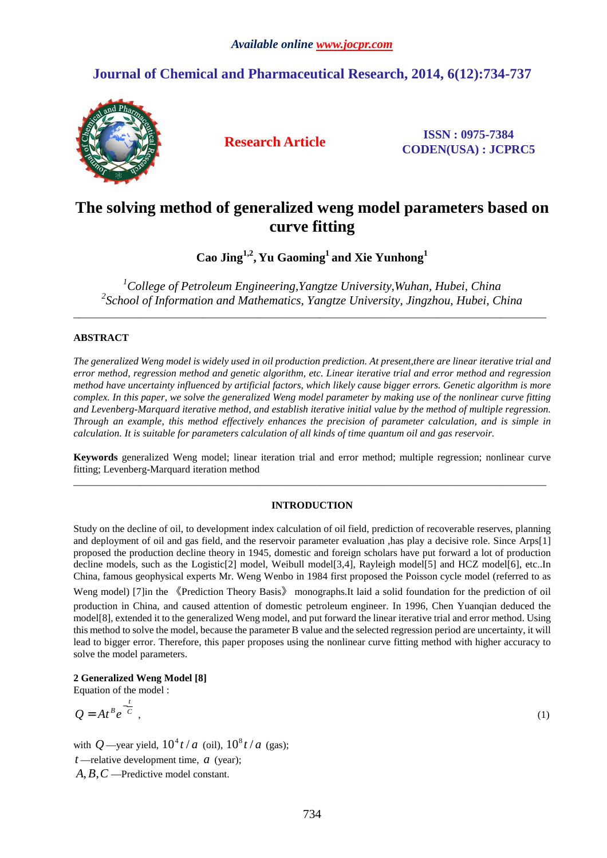## **Journal of Chemical and Pharmaceutical Research, 2014, 6(12):734-737**



**Research Article ISSN : 0975-7384 CODEN(USA) : JCPRC5**

# **The solving method of generalized weng model parameters based on curve fitting**

**Cao Jing1,2 , Yu Gaoming<sup>1</sup>and Xie Yunhong<sup>1</sup>**

*<sup>1</sup>College of Petroleum Engineering,Yangtze University,Wuhan, Hubei, China 2 School of Information and Mathematics, Yangtze University, Jingzhou, Hubei, China* 

\_\_\_\_\_\_\_\_\_\_\_\_\_\_\_\_\_\_\_\_\_\_\_\_\_\_\_\_\_\_\_\_\_\_\_\_\_\_\_\_\_\_\_\_\_\_\_\_\_\_\_\_\_\_\_\_\_\_\_\_\_\_\_\_\_\_\_\_\_\_\_\_\_\_\_\_\_\_\_\_\_\_\_\_\_\_\_\_\_\_\_\_

### **ABSTRACT**

*The generalized Weng model is widely used in oil production prediction. At present,there are linear iterative trial and error method, regression method and genetic algorithm, etc. Linear iterative trial and error method and regression method have uncertainty influenced by artificial factors, which likely cause bigger errors. Genetic algorithm is more complex. In this paper, we solve the generalized Weng model parameter by making use of the nonlinear curve fitting and Levenberg-Marquard iterative method, and establish iterative initial value by the method of multiple regression. Through an example, this method effectively enhances the precision of parameter calculation, and is simple in calculation. It is suitable for parameters calculation of all kinds of time quantum oil and gas reservoir.* 

**Keywords** generalized Weng model; linear iteration trial and error method; multiple regression; nonlinear curve fitting; Levenberg-Marquard iteration method \_\_\_\_\_\_\_\_\_\_\_\_\_\_\_\_\_\_\_\_\_\_\_\_\_\_\_\_\_\_\_\_\_\_\_\_\_\_\_\_\_\_\_\_\_\_\_\_\_\_\_\_\_\_\_\_\_\_\_\_\_\_\_\_\_\_\_\_\_\_\_\_\_\_\_\_\_\_\_\_\_\_\_\_\_\_\_\_\_\_\_\_

### **INTRODUCTION**

Study on the decline of oil, to development index calculation of oil field, prediction of recoverable reserves, planning and deployment of oil and gas field, and the reservoir parameter evaluation ,has play a decisive role. Since Arps[1] proposed the production decline theory in 1945, domestic and foreign scholars have put forward a lot of production decline models, such as the Logistic[2] model, Weibull model[3,4], Rayleigh model[5] and HCZ model[6], etc..In China, famous geophysical experts Mr. Weng Wenbo in 1984 first proposed the Poisson cycle model (referred to as Weng model) [7]in the 《Prediction Theory Basis》 monographs.It laid a solid foundation for the prediction of oil production in China, and caused attention of domestic petroleum engineer. In 1996, Chen Yuanqian deduced the model[8], extended it to the generalized Weng model, and put forward the linear iterative trial and error method. Using this method to solve the model, because the parameter B value and the selected regression period are uncertainty, it will lead to bigger error. Therefore, this paper proposes using the nonlinear curve fitting method with higher accuracy to solve the model parameters.

### **2 Generalized Weng Model [8]**

Equation of the model : *t*

$$
Q = At^B e^{-\frac{t}{C}}, \tag{1}
$$

with  $Q$ —year yield,  $10^4 t/a$  (oil),  $10^8 t/a$  (gas); *t* —relative development time, *a* (year); A, B, C —Predictive model constant.

734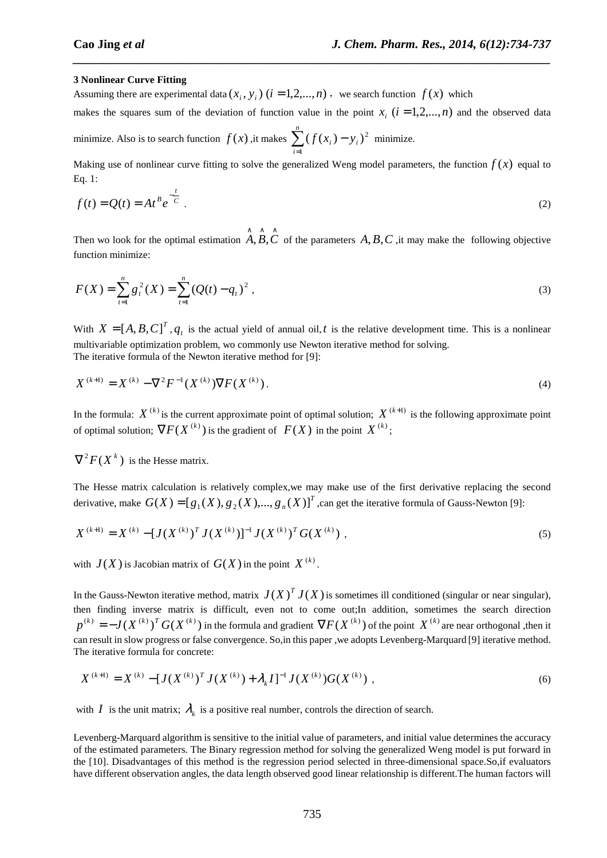#### **3 Nonlinear Curve Fitting**

Assuming there are experimental data  $(x_i, y_i)$   $(i = 1, 2, ..., n)$ , we search function  $f(x)$  which

makes the squares sum of the deviation of function value in the point  $x_i$  ( $i = 1, 2, ..., n$ ) and the observed data minimize. Also is to search function  $f(x)$  ,it makes  $\sum_{n=1}^{\infty}$ − *n*  $f(x_i) - y_i$  $(f(x_i) - y_i)^2$  minimize.

*\_\_\_\_\_\_\_\_\_\_\_\_\_\_\_\_\_\_\_\_\_\_\_\_\_\_\_\_\_\_\_\_\_\_\_\_\_\_\_\_\_\_\_\_\_\_\_\_\_\_\_\_\_\_\_\_\_\_\_\_\_\_\_\_\_\_\_\_\_\_\_\_\_\_\_\_\_\_*

Making use of nonlinear curve fitting to solve the generalized Weng model parameters, the function  $f(x)$  equal to Eq. 1:

=

1

*i*

$$
f(t) = Q(t) = At^B e^{-\frac{t}{C}}.
$$
\n
$$
(2)
$$

Then wo look for the optimal estimation  $\hat{A}, \hat{B}, \hat{C}$  of the parameters  $A, B, C$ , it may make the following objective function minimize:

$$
F(X) = \sum_{t=1}^{n} g_t^2(X) = \sum_{t=1}^{n} (Q(t) - q_t)^2,
$$
\n(3)

With  $X = [A, B, C]^T, q_t$  is the actual yield of annual oil, t is the relative development time. This is a nonlinear multivariable optimization problem, wo commonly use Newton iterative method for solving. The iterative formula of the Newton iterative method for [9]:

$$
X^{(k+1)} = X^{(k)} - \nabla^2 F^{-1}(X^{(k)}) \nabla F(X^{(k)}).
$$
\n(4)

In the formula:  $X^{(k)}$  is the current approximate point of optimal solution;  $X^{(k+1)}$  is the following approximate point of optimal solution;  $\nabla F(X^{(k)})$  is the gradient of  $F(X)$  in the point  $X^{(k)}$ ;

### $\nabla^2 F(X^k)$  is the Hesse matrix.

The Hesse matrix calculation is relatively complex,we may make use of the first derivative replacing the second derivative, make  $G(X) = [g_1(X), g_2(X),..., g_n(X)]^T$ , can get the iterative formula of Gauss-Newton [9]:

$$
X^{(k+1)} = X^{(k)} - [J(X^{(k)})^T J(X^{(k)})]^{-1} J(X^{(k)})^T G(X^{(k)}), \qquad (5)
$$

with  $J(X)$  is Jacobian matrix of  $G(X)$  in the point  $X^{(k)}$ .

In the Gauss-Newton iterative method, matrix  $J(X)^T J(X)$  is sometimes ill conditioned (singular or near singular), then finding inverse matrix is difficult, even not to come out;In addition, sometimes the search direction  $p^{(k)} = -J(X^{(k)})^T G(X^{(k)})$  in the formula and gradient  $\nabla F(X^{(k)})$  of the point  $X^{(k)}$  are near orthogonal ,then it can result in slow progress or false convergence. So,in this paper ,we adopts Levenberg-Marquard [9] iterative method. The iterative formula for concrete:

$$
X^{(k+1)} = X^{(k)} - [J(X^{(k)})^T J(X^{(k)}) + \lambda_k I]^{-1} J(X^{(k)}) G(X^{(k)}), \qquad (6)
$$

with *I* is the unit matrix;  $\lambda_k$  is a positive real number, controls the direction of search.

Levenberg-Marquard algorithm is sensitive to the initial value of parameters, and initial value determines the accuracy of the estimated parameters. The Binary regression method for solving the generalized Weng model is put forward in the [10]. Disadvantages of this method is the regression period selected in three-dimensional space.So,if evaluators have different observation angles, the data length observed good linear relationship is different.The human factors will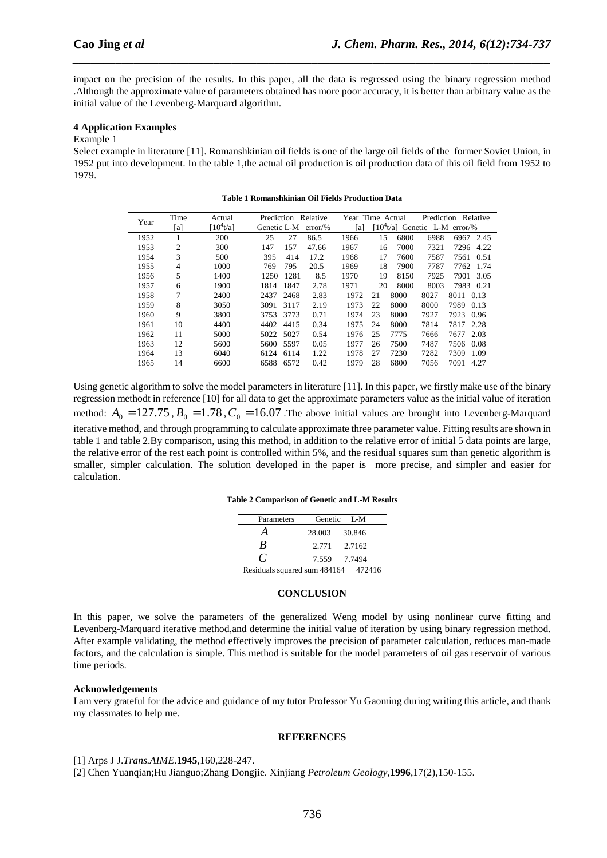impact on the precision of the results. In this paper, all the data is regressed using the binary regression method .Although the approximate value of parameters obtained has more poor accuracy, it is better than arbitrary value as the initial value of the Levenberg-Marquard algorithm.

*\_\_\_\_\_\_\_\_\_\_\_\_\_\_\_\_\_\_\_\_\_\_\_\_\_\_\_\_\_\_\_\_\_\_\_\_\_\_\_\_\_\_\_\_\_\_\_\_\_\_\_\_\_\_\_\_\_\_\_\_\_\_\_\_\_\_\_\_\_\_\_\_\_\_\_\_\_\_*

### **4 Application Examples**

#### Example 1

Select example in literature [11]. Romanshkinian oil fields is one of the large oil fields of the former Soviet Union, in 1952 put into development. In the table 1,the actual oil production is oil production data of this oil field from 1952 to 1979.

| Year | Time           | Actual        | Prediction Relative       |      |       | Year Time Actual |    |      | Prediction Relative             |              |
|------|----------------|---------------|---------------------------|------|-------|------------------|----|------|---------------------------------|--------------|
|      | [a]            | [ $10^4$ t/al | Genetic L-M<br>$error/\%$ |      | `a1   |                  |    |      | $10^4$ t/al Genetic L-M error/% |              |
| 1952 | 1              | 200           | 25                        | 27   | 86.5  | 1966             | 15 | 6800 | 6988                            | 6967 2.45    |
| 1953 | $\overline{c}$ | 300           | 147                       | 157  | 47.66 | 1967             | 16 | 7000 | 7321                            | 7296<br>4.22 |
| 1954 | 3              | 500           | 395                       | 414  | 17.2  | 1968             | 17 | 7600 | 7587                            | 7561<br>0.51 |
| 1955 | $\overline{4}$ | 1000          | 769                       | 795  | 20.5  | 1969             | 18 | 7900 | 7787                            | 7762<br>1.74 |
| 1956 | 5              | 1400          | 1250                      | 1281 | 8.5   | 1970             | 19 | 8150 | 7925                            | 7901<br>3.05 |
| 1957 | 6              | 1900          | 1814                      | 1847 | 2.78  | 1971             | 20 | 8000 | 8003                            | 7983 0.21    |
| 1958 | $\tau$         | 2400          | 2437                      | 2468 | 2.83  | 1972             | 21 | 8000 | 8027                            | 8011<br>0.13 |
| 1959 | 8              | 3050          | 3091                      | 3117 | 2.19  | 1973             | 22 | 8000 | 8000                            | 7989<br>0.13 |
| 1960 | 9              | 3800          | 3753                      | 3773 | 0.71  | 1974             | 23 | 8000 | 7927                            | 7923<br>0.96 |
| 1961 | 10             | 4400          | 4402                      | 4415 | 0.34  | 1975             | 24 | 8000 | 7814                            | 7817<br>2.28 |
| 1962 | 11             | 5000          | 5022                      | 5027 | 0.54  | 1976             | 25 | 7775 | 7666                            | 2.03<br>7677 |
| 1963 | 12             | 5600          | 5600                      | 5597 | 0.05  | 1977             | 26 | 7500 | 7487                            | 7506<br>0.08 |
| 1964 | 13             | 6040          | 6124                      | 6114 | 1.22  | 1978             | 27 | 7230 | 7282                            | 7309<br>1.09 |
| 1965 | 14             | 6600          | 6588                      | 6572 | 0.42  | 1979             | 28 | 6800 | 7056                            | 7091<br>4.27 |

**Table 1 Romanshkinian Oil Fields Production Data** 

Using genetic algorithm to solve the model parameters in literature [11]. In this paper, we firstly make use of the binary regression methodt in reference [10] for all data to get the approximate parameters value as the initial value of iteration method:  $A_0 = 127.75$ ,  $B_0 = 1.78$ ,  $C_0 = 16.07$ . The above initial values are brought into Levenberg-Marquard iterative method, and through programming to calculate approximate three parameter value. Fitting results are shown in table 1 and table 2.By comparison, using this method, in addition to the relative error of initial 5 data points are large, the relative error of the rest each point is controlled within 5%, and the residual squares sum than genetic algorithm is smaller, simpler calculation. The solution developed in the paper is more precise, and simpler and easier for calculation.

|  | Table 2 Comparison of Genetic and L-M Results |
|--|-----------------------------------------------|
|--|-----------------------------------------------|

| Parameters                          | Genetic L-M  |        |
|-------------------------------------|--------------|--------|
| А                                   | 28.003       | 30.846 |
| B                                   | 2.771 2.7162 |        |
| €                                   | 7.559 7.7494 |        |
| Residuals squared sum 484164 472416 |              |        |

#### **CONCLUSION**

In this paper, we solve the parameters of the generalized Weng model by using nonlinear curve fitting and Levenberg-Marquard iterative method,and determine the initial value of iteration by using binary regression method. After example validating, the method effectively improves the precision of parameter calculation, reduces man-made factors, and the calculation is simple. This method is suitable for the model parameters of oil gas reservoir of various time periods.

### **Acknowledgements**

I am very grateful for the advice and guidance of my tutor Professor Yu Gaoming during writing this article, and thank my classmates to help me.

#### **REFERENCES**

[1] Arps J J.*Trans.AIME*.**1945**,160,228-247.

[2] Chen Yuanqian;Hu Jianguo;Zhang Dongjie. Xinjiang *Petroleum Geology*,**1996**,17(2),150-155.